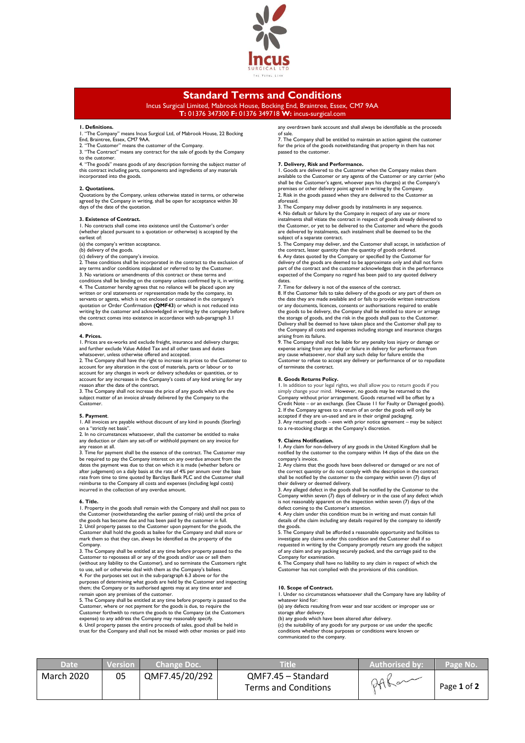

# **Standard Terms and Conditions**

Incus Surgical Limited, Mabrook House, Bocking End, Braintree, Essex, CM7 9AA **T:** 01376 347300 **F:** 01376 349718 **W:** incus-surgical.com

## **1. Definitions.**

1. "The Company" means Incus Surgical Ltd, of Mabrook House, 22 Bocking End, Braintree, Essex, CM7 9AA.

- 2. "The Customer" means the customer of the Company. 3. "The Contract" means any contract for the sale of goods by the Company
- to the customer.

4. "The goods" means goods of any description forming the subject matter of this contract including parts, components and ingredients of any materials incorporated into the goods.

#### **2. Quotations.**

Quotations by the Company, unless otherwise stated in terms, or otherwise agreed by the Company in writing, shall be open for acceptance within 30 days of the date of the quotation

#### **3. Existence of Contract.**

1. No contracts shall come into existence until the Customer's order (whether placed pursuant to a quotation or otherwise) is accepted by the earliest of:

(a) the company's written acceptance. (b) delivery of the goods.

(c) delivery of the company's invoice. 2. These conditions shall be incorporated in the contract to the exclusion of any terms and/or conditions stipulated or referred to by the Customer. 3. No variations or amendments of this contract or these terms and conditions shall be binding on the company unless confirmed by it, in writing. 4. The Customer hereby agrees that no reliance will be placed upon any written or oral statements or representation made by the company, its<br>servants or agents, which is not enclosed or contained in the company's<br>quotation or Order Confirmation **(QMF43**) or which is not reduced into writing by the customer and acknowledged in writing by the company before the contract comes into existence in accordance with sub-paragraph 3.1 above.

## **4. Prices.**

1. Prices:<br>1. Prices are ex-works and exclude freight, insurance and delivery charges; and further exclude Value Added Tax and all other taxes and duties whatsoever, unless otherwise offered and accepted.

2. The Company shall have the right to increase its prices to the Customer to account for any alteration in the cost of materials, parts or labour or to account for any changes in work or delivery schedules or quantities, or to account for any increases in the Company's costs of any kind arising for any reason after the date of the contract.

3. The Company shall not increase the price of any goods which are the subject matter of an invoice already delivered by the Company to the Customer.

#### **5. Payment**.

1. All invoices are payable without discount of any kind in pounds (Sterling) on a "strictly net basis".

2. In no circumstances whatsoever, shall the customer be entitled to make any deduction or claim any set-off or withhold payment on any invoice for any reason at all.

3. Time for payment shall be the essence of the contract. The Customer may be required to pay the Company interest on any overdue amount from the dates the payment was due to that on which it is made (whether before or after judgement) on a daily basis at the rate of 4% per annum over the base rate from time to time quoted by Barclays Bank PLC and the Customer shall reimburse to the Company all costs and expenses (including legal costs) incurred in the collection of any overdue amount.

#### **6. Title.**

1. Property in the goods shall remain with the Company and shall not pass to the Customer (notwithstanding the earlier passing of risk) until the price of the goods has become due and has been paid by the customer in full. 2. Until property passes to the Customer upon payment for the goods, the Customer shall hold the goods as bailee for the Company and shall store or mark them so that they can, always be identified as the property of the Company.

3. The Company shall be entitled at any time before property passed to the Customer to repossess all or any of the goods and/or use or sell them (without any liability to the Customer), and so terminate the Customers right to use, sell or otherwise deal with them as the Company's bailees.

4. For the purposes set out in the sub-paragraph 6.3 above or for the purposes of determining what goods are held by the Customer and inspecting them; the Company or its authorised agents may at any time enter and

remain upon any premises of the customer. 5. The Company shall be entitled at any time before property is passed to the Customer, where or not payment for the goods is due, to require the Customer forthwith to return the goods to the Company (at the Customers

expense) to any address the Company may reasonably specify. 6. Until property passes the entire proceeds of sales, good shall be held in trust for the Company and shall not be mixed with other monies or paid into

any overdrawn bank account and shall always be identifiable as the proceeds of sale.

7. The Company shall be entitled to maintain an action against the customer for the price of the goods notwithstanding that property in them has not passed to the customer.

## **7. Delivery, Risk and Performance.**

1. Goods are delivered to the Customer when the Company makes them available to the Customer or any agents of the Customer or any carrier (who shall be the Customer's agent, whoever pays his charges) at the Company's premises or other delivery point agreed in writing by the Company. 2. Risk in the goods passed when they are delivered to the Customer as aforesaid.

3. The Company may deliver goods by instalments in any sequence. 4. No default or failure by the Company in respect of any use or more instalments shall vitiate the contract in respect of goods already delivered to the Customer, or yet to be delivered to the Customer and where the goods are delivered by instalments, each instalment shall be deemed to be the subject of a separate contract.

5. The Company may deliver, and the Customer shall accept, in satisfaction of the contract, lesser quantity than the quantity of goods ordered. 6. Any dates quoted by the Company or specified by the Customer for delivery of the goods are deemed to be approximate only and shall not form part of the contract and the customer acknowledges that in the performance expected of the Company no regard has been paid to any quoted delivery dates.

7. Time for delivery is not of the essence of the contract.

8. If the Customer fails to take delivery of the goods or any part of them on the date they are made available and or fails to provide written instructions or any documents, licences, consents or authorisations required to enable the goods to be delivery, the Company shall be entitled to store or arrange the storage of goods, and the risk in the goods shall pass to the Customer. Delivery shall be deemed to have taken place and the Customer shall pay to the Company all costs and expenses including storage and insurance charges

arising from its failure. 9. The Company shall not be liable for any penalty loss injury or damage or expense arising from any delay or failure in delivery for performance from any cause whatsoever, nor shall any such delay for failure entitle the Customer to refuse to accept any delivery or performance of or to repudiate of terminate the contract.

## **8. Goods Returns Policy.**

1. In addition to your legal rights, we shall allow you to return goods if you simply change your mind. However, no goods may be returned to the Company without prior arrangement. Goods returned will be offset by a Credit Note – or an exchange. (See Clause 11 for Faulty or Damaged goods). 2. If the Company agrees to a return of an order the goods will only be accepted if they are un-used and are in their original packaging.

3. Any returned goods – even with prior notice agreement – may be subject to a re-stocking charge at the Company's discretion.

## **9. Claims Notification.**

1. Any claim for non-delivery of any goods in the United Kingdom shall be notified by the customer to the company within 14 days of the date on the company's invoice.

2. Any claims that the goods have been delivered or damaged or are not of the correct quantity or do not comply with the description in the contract shall be notified by the customer to the company within seven (7) days of their delivery or deemed delivery.

3. Any alleged defect in the goods shall be notified by the Customer to the Company within seven (7) days of delivery or in the case of any defect which is not reasonably apparent on the inspection within seven (7) days of the defect coming to the Customer's attention.

4. Any claim under this condition must be in writing and must contain full details of the claim including any details required by the company to identify the goods.

5. The Company shall be afforded a reasonable opportunity and facilities to investigate any claims under this condition and the Customer shall if so requested in writing by the Company promptly return any goods the subject of any claim and any packing securely packed, and the carriage paid to the Company for examination.

6. The Company shall have no liability to any claim in respect of which the Customer has not complied with the provisions of this condition.

## **10. Scope of Contract.**

1. Under no circumstances whatsoever shall the Company have any liability of whatever kind for:

(a) any defects resulting from wear and tear accident or improper use or storage after delivery.

(b) any goods which have been altered after delivery. (c) the suitability of any goods for any purpose or use under the specific conditions whether those purposes or conditions were known or communicated to the company.

| <b>Date</b>       | <b>Version</b> | <b>Change Doc.</b> | Title'                                     | <b>Authorised by:</b> | Page No.    |
|-------------------|----------------|--------------------|--------------------------------------------|-----------------------|-------------|
| <b>March 2020</b> | 05             | QMF7.45/20/292     | QMF7.45 - Standard<br>Terms and Conditions | $\sim$<br>24K         | Page 1 of 2 |